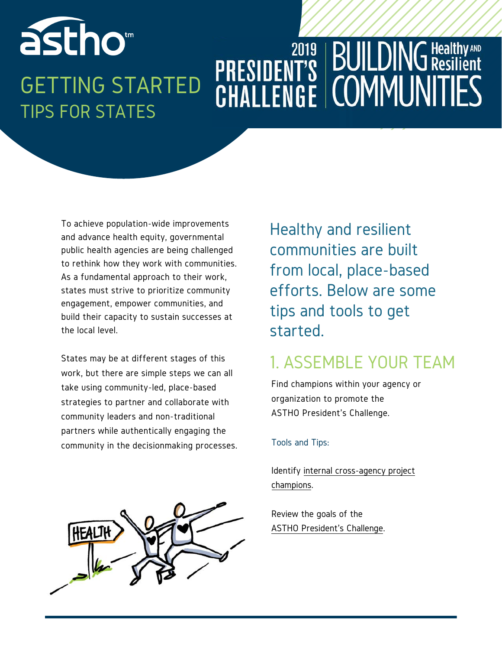### astho<sup>®</sup> **BUILDING Healthy AND PRESIDENT'S BUILDING Res**<br>CHALLENGE COMMUNIT GETTING STARTED TIPS FOR STATES

To achieve population-wide improvements and advance health equity, governmental public health agencies are being challenged to rethink how they work with communities. As a fundamental approach to their work, states must strive to prioritize community engagement, empower communities, and build their capacity to sustain successes at the local level.

States may be at different stages of this work, but there are simple steps we can all take using community-led, place-based strategies to partner and collaborate with community leaders and non-traditional partners while authentically engaging the community in the decisionmaking processes.

Healthy and resilient communities are built from local, place-based efforts. Below are some tips and tools to get started.

### 1. ASSEMBLE YOUR TEAM

Find champions within your agency or organization to promote the ASTHO President's Challenge.

#### Tools and Tips:

[Identify internal cross-agency](https://www.fhi360.org/resource/engaging-innovative-advocates-public-health-champions) project champions.

Review the goals of the [ASTHO President's Challenge](http://www.astho.org/ASTHO-Presidents-Challenge/2019/One-Pager/).

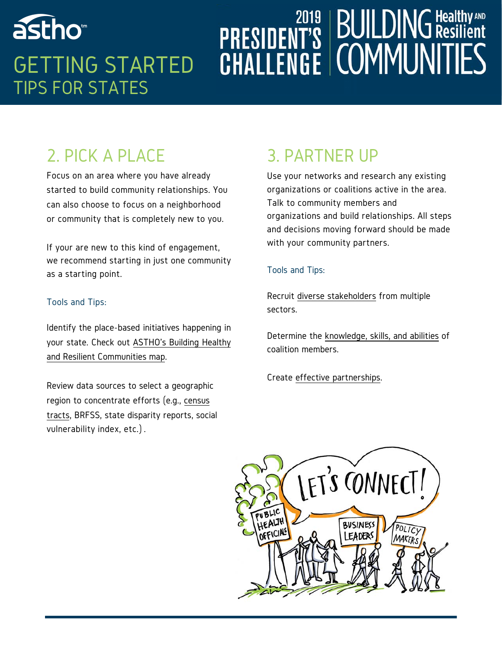## astho<sup>®</sup> GETTING STARTED TIPS FOR STATES

# **PRESIDENT'S BUILDING HealthyAND**<br>CHALLENGE COMMUNITIES

## 2. PICK A PLACE

Focus on an area where you have already started to build community relationships. You can also choose to focus on a neighborhood or community that is completely new to you.

If your are new to this kind of engagement, we recommend starting in just one community as a starting point.

#### Tools and Tips:

Identify the place-based initiatives happening in [your state. Check out ASTHO's Building Healthy](http://www.astho.org/Building-Healthy-and-Resilient-Communities/Map/)  and Resilient Communities map.

Review data sources to select a geographic [region to concentrate efforts \(e.g., census](https://www.census.gov/censusexplorer/)  tracts, BRFSS, state disparity reports, social vulnerability index, etc.) .

### 3. PARTNER UP

Use your networks and research any existing organizations or coalitions active in the area. Talk to community members and organizations and build relationships. All steps and decisions moving forward should be made with your community partners.

#### Tools and Tips:

Recruit [diverse stakeholders](https://ctb.ku.edu/en/table-of-contents/participation/encouraging-involvement/identify-stakeholders/checklist) from multiple sectors.

Determine the [knowledge, skills, and abilities](http://www.countyhealthrankings.org/coalition-core-competencies-checklist) of coalition members.

Create [effective partnerships](https://www.preventioninstitute.org/sites/default/files/uploads/8steps_040511_WEB.pdf).

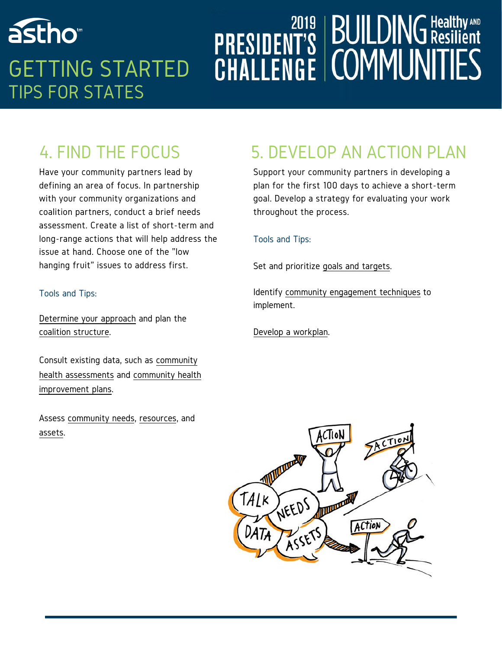## astho<sup>®</sup> GETTING STARTED TIPS FOR STATES

# **PRESIDENT'S BUILDING HealthyAND**<br>CHALLENGE COMMUNITIES

## 4. FIND THE FOCUS

Have your community partners lead by defining an area of focus. In partnership with your community organizations and coalition partners, conduct a brief needs assessment. Create a list of short-term and long-range actions that will help address the issue at hand. Choose one of the "low hanging fruit" issues to address first.

#### Tools and Tips:

[Determine your approach](https://www.collectiveimpactforum.org/sites/default/files/CI_Readiness_Assessment_Jan_7_2014.pdf) and plan the [coalition structure](http://www.tamarackcommunity.ca/hubfs/Collective Impact/Tools/Tool Planning Your Backbone Support May 2017.pdf?hsCtaTracking=a4c31c71-dfe8-4738-9ad8-51ebe2e1774b%7C3cd28a34-93c2-4e26-9833-2ae84badb64d).

[Consult existing data, such as community](https://www.communitycommons.org/board/story/2019/03/04/chna/) health assessments [and community health](https://www.health.state.mn.us/communities/practice/assessplan/lph/community/chip.html)  improvement plans.

Assess [community needs](https://www.activelivingresearch.org/sites/activelivingresearch.org/files/Protocol_ActiveNeighborhoodChecklist.v2.pdf), [resources](https://ctb.ku.edu/en/table-of-contents/assessment/assessing-community-needs-and-resources/develop-a-plan/main), and [assets](http://www.allindata.org/resources/podcast-empowering-communities-to-discover-and-use-their-assets-to-create-change/).

## 5. DEVELOP AN ACTION PLAN

Support your community partners in developing a plan for the first 100 days to achieve a short-term goal. Develop a strategy for evaluating your work throughout the process.

#### Tools and Tips:

Set and prioritize [goals and targets.](https://ctb.ku.edu/en/table-of-contents/assessment/assessing-community-needs-and-resources/criteria-and-processes-to-set-priorities/main)

Identify [community engagement techniques](https://www.tamarackcommunity.ca/hubfs/.Resources/Index of Engagement Techniques.pdf?t=1499732120923) to implement.

[Develop a workplan](https://www.naccho.org/uploads/downloadable-resources/Template-Implementation-Plan-v1-0-CHACHIP-Sites-081412.docx).